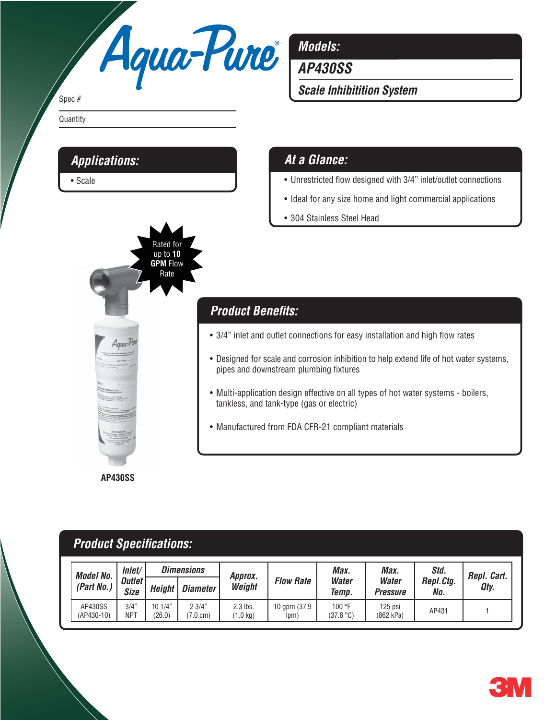

*Models:*

*AP430SS*

*Scale Inhibitition System*

### *At a Glance:*

- Unrestricted flow designed with 3/4" inlet/outlet connections
- Ideal for any size home and light commercial applications
- 304 Stainless Steel Head

### Rated for up to **10 GPM** Flow Rate

*Applications:*

• Scale

Spec #

**Quantity** 

# **Product Benefits:**

- 3/4" inlet and outlet connections for easy installation and high flow rates
- Designed for scale and corrosion inhibition to help extend life of hot water systems, pipes and downstream plumbing fixtures
- Multi-application design effective on all types of hot water systems boilers, tankless, and tank-type (gas or electric)
- Manufactured from FDA CFR-21 compliant materials

**AP430SS**

## **Product Specifications:**

| <b>Model No.</b><br>(Part No.) | Inlet/<br><b>Outlet</b><br>Size | <b>Dimensions</b> |                           | Approx.              |                       | Max.                  | Max.                     | Std.             | Repl. Cart. |
|--------------------------------|---------------------------------|-------------------|---------------------------|----------------------|-----------------------|-----------------------|--------------------------|------------------|-------------|
|                                |                                 | Height            | <b>Diameter</b>           | Weight               | <b>Flow Rate</b>      | <b>Water</b><br>Temp. | <b>Water</b><br>Pressure | Repl.Ctg.<br>No. | Qty.        |
| AP430SS<br>(AP430-10)          | 3/4"<br>NPT                     | 101/4"<br>(26.0)  | 23/4"<br>$7.0 \text{ cm}$ | 2.3 lbs.<br>(1.0 kg) | 10 gpm (37.9)<br>lpm) | 100 °F<br>(37.8 °C)   | 125 psi<br>(862 kPa)     | AP431            |             |